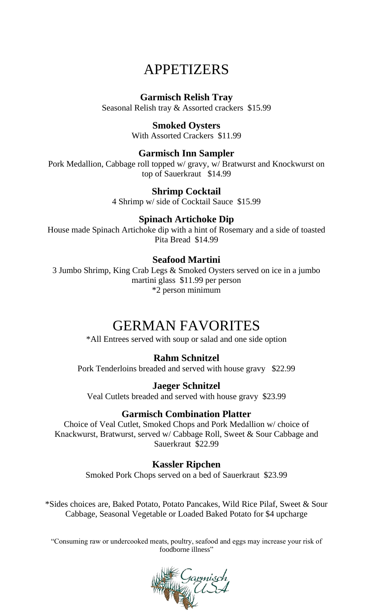## APPETIZERS

### **Garmisch Relish Tray**

Seasonal Relish tray & Assorted crackers \$15.99

### **Smoked Oysters**

With Assorted Crackers \$11.99

### **Garmisch Inn Sampler**

Pork Medallion, Cabbage roll topped w/ gravy, w/ Bratwurst and Knockwurst on top of Sauerkraut \$14.99

### **Shrimp Cocktail**

4 Shrimp w/ side of Cocktail Sauce \$15.99

### **Spinach Artichoke Dip**

House made Spinach Artichoke dip with a hint of Rosemary and a side of toasted Pita Bread \$14.99

### **Seafood Martini**

3 Jumbo Shrimp, King Crab Legs & Smoked Oysters served on ice in a jumbo martini glass \$11.99 per person \*2 person minimum

## GERMAN FAVORITES

\*All Entrees served with soup or salad and one side option

### **Rahm Schnitzel**

Pork Tenderloins breaded and served with house gravy \$22.99

### **Jaeger Schnitzel**

Veal Cutlets breaded and served with house gravy \$23.99

### **Garmisch Combination Platter**

Choice of Veal Cutlet, Smoked Chops and Pork Medallion w/ choice of Knackwurst, Bratwurst, served w/ Cabbage Roll, Sweet & Sour Cabbage and Sauerkraut \$22.99

### **Kassler Ripchen**

Smoked Pork Chops served on a bed of Sauerkraut \$23.99

\*Sides choices are, Baked Potato, Potato Pancakes, Wild Rice Pilaf, Sweet & Sour Cabbage, Seasonal Vegetable or Loaded Baked Potato for \$4 upcharge

"Consuming raw or undercooked meats, poultry, seafood and eggs may increase your risk of foodborne illness"

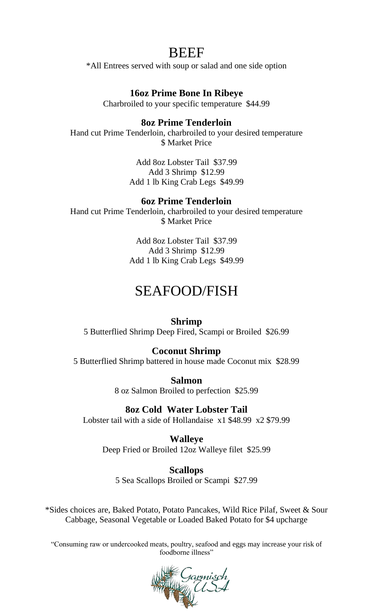## BEEF

\*All Entrees served with soup or salad and one side option

### **16oz Prime Bone In Ribeye**

Charbroiled to your specific temperature \$44.99

#### **8oz Prime Tenderloin**

Hand cut Prime Tenderloin, charbroiled to your desired temperature **\$ Market Price** 

> Add 8oz Lobster Tail \$37.99 Add 3 Shrimp \$12.99 Add 1 lb King Crab Legs \$49.99

#### **6oz Prime Tenderloin**

Hand cut Prime Tenderloin, charbroiled to your desired temperature \$ Market Price

> Add 8oz Lobster Tail \$37.99 Add 3 Shrimp \$12.99 Add 1 lb King Crab Legs \$49.99

## SEAFOOD/FISH

#### **Shrimp**

5 Butterflied Shrimp Deep Fired, Scampi or Broiled \$26.99

#### **Coconut Shrimp**

5 Butterflied Shrimp battered in house made Coconut mix \$28.99

**Salmon** 8 oz Salmon Broiled to perfection \$25.99

**8oz Cold Water Lobster Tail**

Lobster tail with a side of Hollandaise x1 \$48.99 x2 \$79.99

**Walleye** Deep Fried or Broiled 12oz Walleye filet \$25.99

**Scallops** 5 Sea Scallops Broiled or Scampi \$27.99

\*Sides choices are, Baked Potato, Potato Pancakes, Wild Rice Pilaf, Sweet & Sour Cabbage, Seasonal Vegetable or Loaded Baked Potato for \$4 upcharge

"Consuming raw or undercooked meats, poultry, seafood and eggs may increase your risk of foodborne illness"

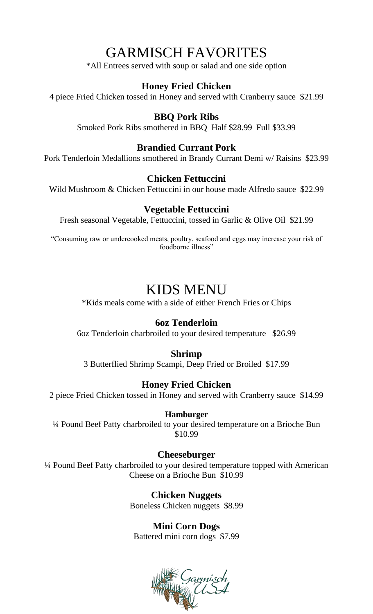## GARMISCH FAVORITES

\*All Entrees served with soup or salad and one side option

### **Honey Fried Chicken**

4 piece Fried Chicken tossed in Honey and served with Cranberry sauce \$21.99

### **BBQ Pork Ribs**

Smoked Pork Ribs smothered in BBQ Half \$28.99 Full \$33.99

### **Brandied Currant Pork**

Pork Tenderloin Medallions smothered in Brandy Currant Demi w/ Raisins \$23.99

#### **Chicken Fettuccini**

Wild Mushroom & Chicken Fettuccini in our house made Alfredo sauce \$22.99

#### **Vegetable Fettuccini**

Fresh seasonal Vegetable, Fettuccini, tossed in Garlic & Olive Oil \$21.99

"Consuming raw or undercooked meats, poultry, seafood and eggs may increase your risk of foodborne illness"

## KIDS MENU

\*Kids meals come with a side of either French Fries or Chips

#### **6oz Tenderloin**

6oz Tenderloin charbroiled to your desired temperature \$26.99

#### **Shrimp**

3 Butterflied Shrimp Scampi, Deep Fried or Broiled \$17.99

#### **Honey Fried Chicken**

2 piece Fried Chicken tossed in Honey and served with Cranberry sauce \$14.99

#### **Hamburger**

¼ Pound Beef Patty charbroiled to your desired temperature on a Brioche Bun \$10.99

#### **Cheeseburger**

¼ Pound Beef Patty charbroiled to your desired temperature topped with American Cheese on a Brioche Bun \$10.99

> **Chicken Nuggets** Boneless Chicken nuggets \$8.99

## **Mini Corn Dogs**

Battered mini corn dogs \$7.99

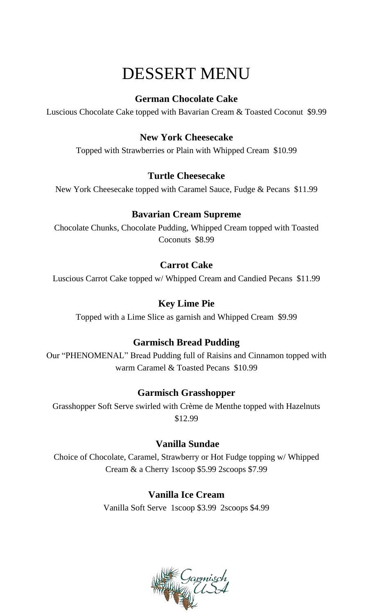# DESSERT MENU

### **German Chocolate Cake**

Luscious Chocolate Cake topped with Bavarian Cream & Toasted Coconut \$9.99

### **New York Cheesecake**

Topped with Strawberries or Plain with Whipped Cream \$10.99

### **Turtle Cheesecake**

New York Cheesecake topped with Caramel Sauce, Fudge & Pecans \$11.99

### **Bavarian Cream Supreme**

Chocolate Chunks, Chocolate Pudding, Whipped Cream topped with Toasted Coconuts \$8.99

### **Carrot Cake**

Luscious Carrot Cake topped w/ Whipped Cream and Candied Pecans \$11.99

### **Key Lime Pie**

Topped with a Lime Slice as garnish and Whipped Cream \$9.99

### **Garmisch Bread Pudding**

Our "PHENOMENAL" Bread Pudding full of Raisins and Cinnamon topped with warm Caramel & Toasted Pecans \$10.99

### **Garmisch Grasshopper**

Grasshopper Soft Serve swirled with Crème de Menthe topped with Hazelnuts \$12.99

### **Vanilla Sundae**

Choice of Chocolate, Caramel, Strawberry or Hot Fudge topping w/ Whipped Cream & a Cherry 1scoop \$5.99 2scoops \$7.99

### **Vanilla Ice Cream**

Vanilla Soft Serve 1scoop \$3.99 2scoops \$4.99

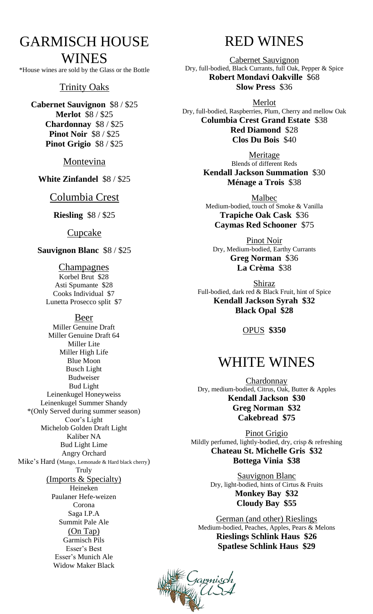## GARMISCH HOUSE WINES

\*House wines are sold by the Glass or the Bottle

#### Trinity Oaks

**Cabernet Sauvignon** \$8 / \$25 **Merlot** \$8 / \$25 **Chardonnay** \$8 / \$25 **Pinot Noir** \$8 / \$25 **Pinot Grigio** \$8 / \$25

Montevina

**White Zinfandel** \$8 / \$25

#### Columbia Crest

**Riesling** \$8 / \$25

Cupcake

**Sauvignon Blanc** \$8 / \$25

Champagnes Korbel Brut \$28 Asti Spumante \$28 Cooks Individual \$7 Lunetta Prosecco split \$7

#### Beer

Miller Genuine Draft Miller Genuine Draft 64 Miller Lite Miller High Life Blue Moon Busch Light Budweiser Bud Light Leinenkugel Honeyweiss Leinenkugel Summer Shandy \*(Only Served during summer season) Coor's Light Michelob Golden Draft Light Kaliber NA Bud Light Lime Angry Orchard Mike's Hard (Mango, Lemonade & Hard black cherry) Truly (Imports & Specialty) Heineken Paulaner Hefe-weizen Corona Saga I.P.A Summit Pale Ale (On Tap) Garmisch Pils Esser's Best Esser's Munich Ale Widow Maker Black

## RED WINES

Cabernet Sauvignon Dry, full-bodied, Black Currants, full Oak, Pepper & Spice **Robert Mondavi Oakville** \$68 **Slow Press** \$36

Merlot Dry, full-bodied, Raspberries, Plum, Cherry and mellow Oak **Columbia Crest Grand Estate** \$38 **Red Diamond** \$28 **Clos Du Bois** \$40

> Meritage Blends of different Reds **Kendall Jackson Summation** \$30 **Ménage a Trois** \$38

Malbec Medium-bodied, touch of Smoke & Vanilla **Trapiche Oak Cask** \$36 **Caymas Red Schooner** \$75

Pinot Noir Dry, Medium-bodied, Earthy Currants **Greg Norman** \$36 **La Crèma** \$38

Shiraz Full-bodied, dark red & Black Fruit, hint of Spice **Kendall Jackson Syrah \$32 Black Opal \$28**

OPUS **\$350**

## WHITE WINES

Chardonnay Dry, medium-bodied, Citrus, Oak, Butter & Apples **Kendall Jackson \$30 Greg Norman \$32 Cakebread \$75**

Pinot Grigio Mildly perfumed, lightly-bodied, dry, crisp & refreshing **Chateau St. Michelle Gris \$32 Bottega Vinia \$38**

> Sauvignon Blanc Dry, light-bodied, hints of Cirtus & Fruits **Monkey Bay \$32 Cloudy Bay \$55**

German (and other) Rieslings Medium-bodied, Peaches, Apples, Pears & Melons **Rieslings Schlink Haus \$26 Spatlese Schlink Haus \$29**